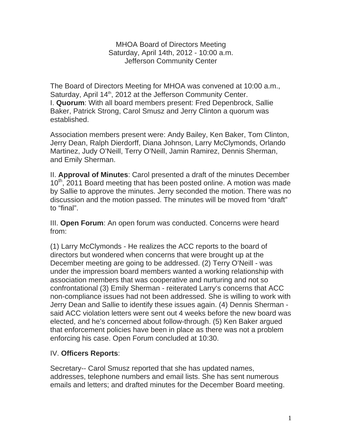MHOA Board of Directors Meeting Saturday, April 14th, 2012 - 10:00 a.m. Jefferson Community Center

The Board of Directors Meeting for MHOA was convened at 10:00 a.m., Saturday, April 14<sup>th</sup>, 2012 at the Jefferson Community Center. I. **Quorum**: With all board members present: Fred Depenbrock, Sallie Baker, Patrick Strong, Carol Smusz and Jerry Clinton a quorum was established.

Association members present were: Andy Bailey, Ken Baker, Tom Clinton, Jerry Dean, Ralph Dierdorff, Diana Johnson, Larry McClymonds, Orlando Martinez, Judy O'Neill, Terry O'Neill, Jamin Ramirez, Dennis Sherman, and Emily Sherman.

II. **Approval of Minutes**: Carol presented a draft of the minutes December 10<sup>th</sup>, 2011 Board meeting that has been posted online. A motion was made by Sallie to approve the minutes. Jerry seconded the motion. There was no discussion and the motion passed. The minutes will be moved from "draft" to "final".

III. **Open Forum**: An open forum was conducted. Concerns were heard from:

(1) Larry McClymonds - He realizes the ACC reports to the board of directors but wondered when concerns that were brought up at the December meeting are going to be addressed. (2) Terry O'Neill - was under the impression board members wanted a working relationship with association members that was cooperative and nurturing and not so confrontational (3) Emily Sherman - reiterated Larry's concerns that ACC non-compliance issues had not been addressed. She is willing to work with Jerry Dean and Sallie to identify these issues again. (4) Dennis Sherman said ACC violation letters were sent out 4 weeks before the new board was elected, and he's concerned about follow-through. (5) Ken Baker argued that enforcement policies have been in place as there was not a problem enforcing his case. Open Forum concluded at 10:30.

## IV. **Officers Reports**:

Secretary-- Carol Smusz reported that she has updated names, addresses, telephone numbers and email lists. She has sent numerous emails and letters; and drafted minutes for the December Board meeting.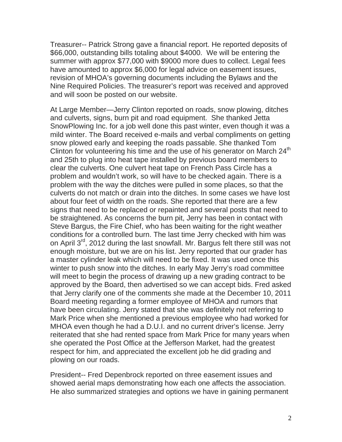Treasurer-- Patrick Strong gave a financial report. He reported deposits of \$66,000, outstanding bills totaling about \$4000. We will be entering the summer with approx \$77,000 with \$9000 more dues to collect. Legal fees have amounted to approx \$6,000 for legal advice on easement issues, revision of MHOA's governing documents including the Bylaws and the Nine Required Policies. The treasurer's report was received and approved and will soon be posted on our website.

At Large Member—Jerry Clinton reported on roads, snow plowing, ditches and culverts, signs, burn pit and road equipment. She thanked Jetta SnowPlowing Inc. for a job well done this past winter, even though it was a mild winter. The Board received e-mails and verbal compliments on getting snow plowed early and keeping the roads passable. She thanked Tom Clinton for volunteering his time and the use of his generator on March  $24<sup>th</sup>$ and 25th to plug into heat tape installed by previous board members to clear the culverts. One culvert heat tape on French Pass Circle has a problem and wouldn't work, so will have to be checked again. There is a problem with the way the ditches were pulled in some places, so that the culverts do not match or drain into the ditches. In some cases we have lost about four feet of width on the roads. She reported that there are a few signs that need to be replaced or repainted and several posts that need to be straightened. As concerns the burn pit, Jerry has been in contact with Steve Bargus, the Fire Chief, who has been waiting for the right weather conditions for a controlled burn. The last time Jerry checked with him was on April 3<sup>rd</sup>, 2012 during the last snowfall. Mr. Bargus felt there still was not enough moisture, but we are on his list. Jerry reported that our grader has a master cylinder leak which will need to be fixed. It was used once this winter to push snow into the ditches. In early May Jerry's road committee will meet to begin the process of drawing up a new grading contract to be approved by the Board, then advertised so we can accept bids. Fred asked that Jerry clarify one of the comments she made at the December 10, 2011 Board meeting regarding a former employee of MHOA and rumors that have been circulating. Jerry stated that she was definitely not referring to Mark Price when she mentioned a previous employee who had worked for MHOA even though he had a D.U.I. and no current driver's license. Jerry reiterated that she had rented space from Mark Price for many years when she operated the Post Office at the Jefferson Market, had the greatest respect for him, and appreciated the excellent job he did grading and plowing on our roads.

President-- Fred Depenbrock reported on three easement issues and showed aerial maps demonstrating how each one affects the association. He also summarized strategies and options we have in gaining permanent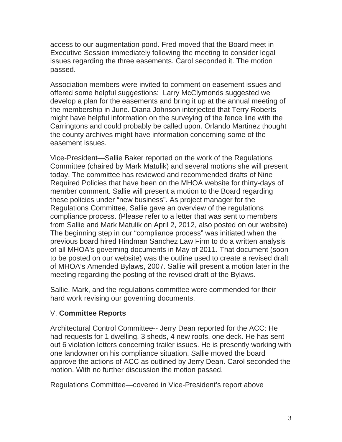access to our augmentation pond. Fred moved that the Board meet in Executive Session immediately following the meeting to consider legal issues regarding the three easements. Carol seconded it. The motion passed.

Association members were invited to comment on easement issues and offered some helpful suggestions: Larry McClymonds suggested we develop a plan for the easements and bring it up at the annual meeting of the membership in June. Diana Johnson interjected that Terry Roberts might have helpful information on the surveying of the fence line with the Carringtons and could probably be called upon. Orlando Martinez thought the county archives might have information concerning some of the easement issues.

Vice-President—Sallie Baker reported on the work of the Regulations Committee (chaired by Mark Matulik) and several motions she will present today. The committee has reviewed and recommended drafts of Nine Required Policies that have been on the MHOA website for thirty-days of member comment. Sallie will present a motion to the Board regarding these policies under "new business". As project manager for the Regulations Committee, Sallie gave an overview of the regulations compliance process. (Please refer to a letter that was sent to members from Sallie and Mark Matulik on April 2, 2012, also posted on our website) The beginning step in our "compliance process" was initiated when the previous board hired Hindman Sanchez Law Firm to do a written analysis of all MHOA's governing documents in May of 2011. That document (soon to be posted on our website) was the outline used to create a revised draft of MHOA's Amended Bylaws, 2007. Sallie will present a motion later in the meeting regarding the posting of the revised draft of the Bylaws.

Sallie, Mark, and the regulations committee were commended for their hard work revising our governing documents.

## V. **Committee Reports**

Architectural Control Committee-- Jerry Dean reported for the ACC: He had requests for 1 dwelling, 3 sheds, 4 new roofs, one deck. He has sent out 6 violation letters concerning trailer issues. He is presently working with one landowner on his compliance situation. Sallie moved the board approve the actions of ACC as outlined by Jerry Dean. Carol seconded the motion. With no further discussion the motion passed.

Regulations Committee—covered in Vice-President's report above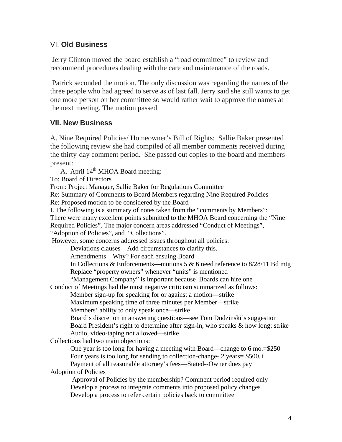## VI. **Old Business**

 Jerry Clinton moved the board establish a "road committee" to review and recommend procedures dealing with the care and maintenance of the roads.

 Patrick seconded the motion. The only discussion was regarding the names of the three people who had agreed to serve as of last fall. Jerry said she still wants to get one more person on her committee so would rather wait to approve the names at the next meeting. The motion passed.

# **VII. New Business**

A. Nine Required Policies/ Homeowner's Bill of Rights: Sallie Baker presented the following review she had compiled of all member comments received during the thirty-day comment period. She passed out copies to the board and members present:

A. April 14<sup>th</sup> MHOA Board meeting:

To: Board of Directors

From: Project Manager, Sallie Baker for Regulations Committee

Re: Summary of Comments to Board Members regarding Nine Required Policies

Re: Proposed motion to be considered by the Board

I. The following is a summary of notes taken from the "comments by Members":

There were many excellent points submitted to the MHOA Board concerning the "Nine

Required Policies". The major concern areas addressed "Conduct of Meetings",

"Adoption of Policies", and "Collections".

However, some concerns addressed issues throughout all policies:

Deviations clauses—Add circumstances to clarify this.

Amendments—Why? For each ensuing Board

In Collections & Enforcements—motions 5 & 6 need reference to  $8/28/11$  Bd mtg Replace "property owners" whenever "units" is mentioned

"Management Company" is important because Boards can hire one

Conduct of Meetings had the most negative criticism summarized as follows:

Member sign-up for speaking for or against a motion—strike

Maximum speaking time of three minutes per Member—strike

Members' ability to only speak once—strike

Board's discretion in answering questions—see Tom Dudzinski's suggestion Board President's right to determine after sign-in, who speaks & how long; strike Audio, video-taping not allowed—strike

Collections had two main objections:

 One year is too long for having a meeting with Board—change to 6 mo.=\$250 Four years is too long for sending to collection-change- 2 years= \$500.+ Payment of all reasonable attorney's fees—Stated--Owner does pay

Adoption of Policies

 Approval of Policies by the membership? Comment period required only Develop a process to integrate comments into proposed policy changes Develop a process to refer certain policies back to committee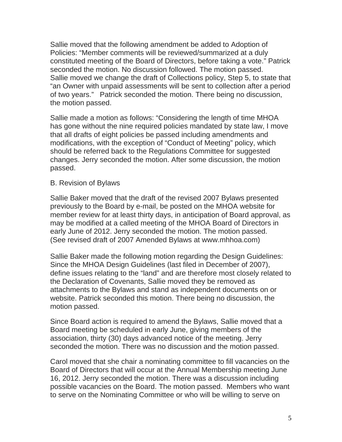Sallie moved that the following amendment be added to Adoption of Policies: "Member comments will be reviewed/summarized at a duly constituted meeting of the Board of Directors, before taking a vote." Patrick seconded the motion. No discussion followed. The motion passed. Sallie moved we change the draft of Collections policy, Step 5, to state that "an Owner with unpaid assessments will be sent to collection after a period of two years." Patrick seconded the motion. There being no discussion, the motion passed.

Sallie made a motion as follows: "Considering the length of time MHOA has gone without the nine required policies mandated by state law, I move that all drafts of eight policies be passed including amendments and modifications, with the exception of "Conduct of Meeting" policy, which should be referred back to the Regulations Committee for suggested changes. Jerry seconded the motion. After some discussion, the motion passed.

#### B. Revision of Bylaws

Sallie Baker moved that the draft of the revised 2007 Bylaws presented previously to the Board by e-mail, be posted on the MHOA website for member review for at least thirty days, in anticipation of Board approval, as may be modified at a called meeting of the MHOA Board of Directors in early June of 2012. Jerry seconded the motion. The motion passed. (See revised draft of 2007 Amended Bylaws at www.mhhoa.com)

Sallie Baker made the following motion regarding the Design Guidelines: Since the MHOA Design Guidelines (last filed in December of 2007), define issues relating to the "land" and are therefore most closely related to the Declaration of Covenants, Sallie moved they be removed as attachments to the Bylaws and stand as independent documents on or website. Patrick seconded this motion. There being no discussion, the motion passed.

Since Board action is required to amend the Bylaws, Sallie moved that a Board meeting be scheduled in early June, giving members of the association, thirty (30) days advanced notice of the meeting. Jerry seconded the motion. There was no discussion and the motion passed.

Carol moved that she chair a nominating committee to fill vacancies on the Board of Directors that will occur at the Annual Membership meeting June 16, 2012. Jerry seconded the motion. There was a discussion including possible vacancies on the Board. The motion passed. Members who want to serve on the Nominating Committee or who will be willing to serve on